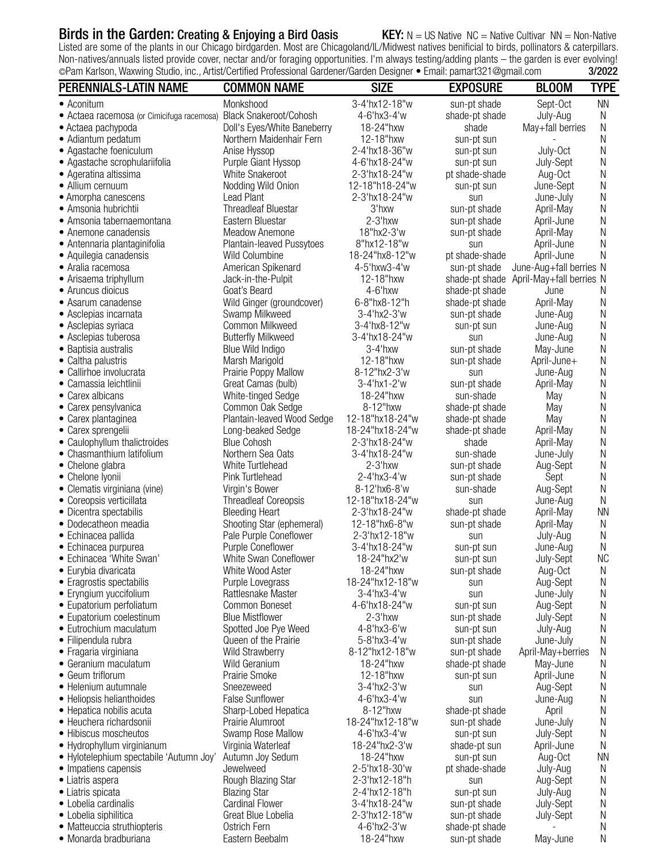# Birds in the Garden: Creating & Enjoying a Bird Oasis KEY:  $N = US$  Native NC = Native Cultivar NN = Non-Native

Listed are some of the plants in our Chicago birdgarden. Most are Chicagoland/IL/Midwest natives benificial to birds, pollinators & caterpillars. Non-natives/annuals listed provide cover, nectar and/or foraging opportunities. I'm always testing/adding plants – the garden is ever evolving!<br>©Pam Karlson, Waxwing Studio, inc., Artist/Certified Professional Gardener/Gar ©Pam Karlson, Waxwing Studio, inc., Artist/Certified Professional Gardener/Garden Designer • Email: pamart321@gmail.com 3/2022

| PERENNIALS-LATIN NAME                                           | <b>COMMON NAME</b>                                 | <b>SIZE</b>                    | <b>EXPOSURE</b>              | <b>BLOOM</b>             | TYPE           |
|-----------------------------------------------------------------|----------------------------------------------------|--------------------------------|------------------------------|--------------------------|----------------|
| • Aconitum                                                      | Monkshood                                          | 3-4'hx12-18"w                  | sun-pt shade                 | Sept-Oct                 | <b>NN</b>      |
| · Actaea racemosa (or Cimicifuga racemosa)                      | <b>Black Snakeroot/Cohosh</b>                      | 4-6'hx3-4'w                    | shade-pt shade               | July-Aug                 | N              |
| • Actaea pachypoda                                              | Doll's Eyes/White Baneberry                        | 18-24"hxw                      | shade                        | May+fall berries         | Ν              |
| • Adiantum pedatum                                              | Northern Maidenhair Fern                           | 12-18"hxw                      | sun-pt sun                   |                          | Ν              |
| • Agastache foeniculum                                          | Anise Hyssop                                       | 2-4'hx18-36"w                  | sun-pt sun                   | July-Oct                 | Ν              |
| • Agastache scrophulariifolia                                   | Purple Giant Hyssop                                | 4-6'hx18-24"w                  | sun-pt sun                   | July-Sept                | Ν              |
| • Ageratina altissima                                           | White Snakeroot                                    | 2-3'hx18-24"w                  | pt shade-shade               | Aug-Oct                  | Ν              |
| • Allium cernuum                                                | Nodding Wild Onion                                 | 12-18"h18-24"w                 | sun-pt sun                   | June-Sept                | N              |
| • Amorpha canescens                                             | <b>Lead Plant</b>                                  | 2-3'hx18-24"w                  | sun                          | June-July                | Ν              |
| • Amsonia hubrichtii                                            | <b>Threadleaf Bluestar</b>                         | 3'hxw                          | sun-pt shade                 | April-May                | Ν              |
| • Amsonia tabernaemontana                                       | Eastern Bluestar                                   | $2-3'$ hxw                     | sun-pt shade                 | April-June               | Ν              |
| • Anemone canadensis                                            | Meadow Anemone                                     | 18"hx2-3'w                     | sun-pt shade                 | April-May                | Ν              |
| • Antennaria plantaginifolia                                    | Plantain-leaved Pussytoes<br>Wild Columbine        | 8"hx12-18"w<br>18-24"hx8-12"w  | sun<br>pt shade-shade        | April-June<br>April-June | Ν<br>Ν         |
| • Aquilegia canadensis<br>• Aralia racemosa                     | American Spikenard                                 | 4-5'hxw3-4'w                   | sun-pt shade                 | June-Aug+fall berries N  |                |
| • Arisaema triphyllum                                           | Jack-in-the-Pulpit                                 | 12-18"hxw                      | shade-pt shade               | April-May+fall berries N |                |
| • Aruncus dioicus                                               | Goat's Beard                                       | 4-6'hxw                        | shade-pt shade               | June                     | N              |
| • Asarum canadense                                              | Wild Ginger (groundcover)                          | 6-8"hx8-12"h                   | shade-pt shade               | April-May                | N              |
| • Asclepias incarnata                                           | Swamp Milkweed                                     | $3 - 4'hx2 - 3'w$              | sun-pt shade                 | June-Aug                 | Ν              |
| • Asclepias syriaca                                             | Common Milkweed                                    | 3-4'hx8-12"w                   | sun-pt sun                   | June-Aug                 | Ν              |
| • Asclepias tuberosa                                            | <b>Butterfly Milkweed</b>                          | 3-4'hx18-24"w                  | sun                          | June-Aug                 | Ν              |
| • Baptisia australis                                            | Blue Wild Indigo                                   | 3-4'hxw                        | sun-pt shade                 | May-June                 | Ν              |
| • Caltha palustris                                              | Marsh Marigold                                     | 12-18"hxw                      | sun-pt shade                 | April-June+              | Ν              |
| • Callirhoe involucrata                                         | Prairie Poppy Mallow                               | 8-12"hx2-3'w                   | sun                          | June-Aug                 | Ν              |
| • Camassia leichtlinii                                          | Great Camas (bulb)                                 | 3-4'hx1-2'w                    | sun-pt shade                 | April-May                | Ν              |
| • Carex albicans                                                | White-tinged Sedge                                 | 18-24"hxw                      | sun-shade                    | May                      | Ν              |
| • Carex pensylvanica                                            | Common Oak Sedge                                   | 8-12"hxw                       | shade-pt shade               | May                      | Ν              |
| • Carex plantaginea                                             | Plantain-leaved Wood Sedge                         | 12-18"hx18-24"w                | shade-pt shade               | May                      | Ν              |
| • Carex sprengelii                                              | Long-beaked Sedge                                  | 18-24"hx18-24"w                | shade-pt shade               | April-May                | Ν              |
| • Caulophyllum thalictroides                                    | <b>Blue Cohosh</b>                                 | 2-3'hx18-24"w                  | shade                        | April-May                | Ν              |
| • Chasmanthium latifolium                                       | Northern Sea Oats                                  | 3-4'hx18-24"w                  | sun-shade                    | June-July                | N              |
| • Chelone glabra                                                | White Turtlehead                                   | $2-3'$ hxw                     | sun-pt shade                 | Aug-Sept                 | Ν              |
| • Chelone Iyonii                                                | Pink Turtlehead                                    | 2-4'hx3-4'w                    | sun-pt shade                 | Sept                     | Ν              |
| • Clematis virginiana (vine)                                    | Virgin's Bower                                     | 8-12'hx6-8'w                   | sun-shade                    | Aug-Sept                 | Ν              |
| • Coreopsis verticillata                                        | <b>Threadleaf Coreopsis</b>                        | 12-18"hx18-24"w                | sun                          | June-Aug                 | $\mathsf{N}$   |
| • Dicentra spectabilis<br>· Dodecatheon meadia                  | <b>Bleeding Heart</b><br>Shooting Star (ephemeral) | 2-3'hx18-24"w<br>12-18"hx6-8"w | shade-pt shade               | April-May<br>April-May   | <b>NN</b><br>N |
| · Echinacea pallida                                             | Pale Purple Coneflower                             | 2-3'hx12-18"w                  | sun-pt shade<br>sun          | July-Aug                 | Ν              |
| · Echinacea purpurea                                            | Purple Coneflower                                  | 3-4'hx18-24"w                  | sun-pt sun                   | June-Aug                 | $\mathsf{N}$   |
| • Echinacea 'White Swan'                                        | White Swan Coneflower                              | 18-24"hx2'w                    | sun-pt sun                   | July-Sept                | <b>NC</b>      |
| • Eurybia divaricata                                            | White Wood Aster                                   | 18-24"hxw                      | sun-pt shade                 | Aug-Oct                  | N              |
| • Eragrostis spectabilis                                        | Purple Lovegrass                                   | 18-24"hx12-18"w                | sun                          | Aug-Sept                 | N              |
| • Eryngium yuccifolium                                          | Rattlesnake Master                                 | $3 - 4'$ hx $3 - 4'$ w         | sun                          | June-July                | N              |
| • Eupatorium perfoliatum                                        | Common Boneset                                     | 4-6'hx18-24"w                  | sun-pt sun                   | Aug-Sept                 | N              |
| • Eupatorium coelestinum                                        | <b>Blue Mistflower</b>                             | $2-3'$ hxw                     | sun-pt shade                 | July-Sept                | N              |
| • Eutrochium maculatum                                          | Spotted Joe Pye Weed                               | 4-8'hx3-6'w                    | sun-pt sun                   | July-Aug                 | N              |
| • Filipendula rubra                                             | Queen of the Prairie                               | $5 - 8$ 'hx $3 - 4$ 'w         | sun-pt shade                 | June-July                | N              |
| • Fragaria virginiana                                           | Wild Strawberry                                    | 8-12"hx12-18"w                 | sun-pt shade                 | April-May+berries        | N              |
| • Geranium maculatum                                            | Wild Geranium                                      | 18-24"hxw                      | shade-pt shade               | May-June                 | N              |
| • Geum triflorum                                                | Prairie Smoke                                      | 12-18"hxw                      | sun-pt sun                   | April-June               | N              |
| • Helenium autumnale                                            | Sneezeweed                                         | 3-4'hx2-3'w                    | sun                          | Aug-Sept                 | N              |
| • Heliopsis helianthoides                                       | <b>False Sunflower</b>                             | 4-6'hx3-4'w                    | sun                          | June-Aug                 | N              |
| • Hepatica nobilis acuta                                        | Sharp-Lobed Hepatica                               | 8-12"hxw                       | shade-pt shade               | April                    | N              |
| • Heuchera richardsonii                                         | Prairie Alumroot                                   | 18-24"hx12-18"w                | sun-pt shade                 | June-July                | N              |
| • Hibiscus moscheutos                                           | Swamp Rose Mallow                                  | 4-6'hx3-4'w                    | sun-pt sun                   | July-Sept                | N              |
| • Hydrophyllum virginianum                                      | Virginia Waterleaf                                 | 18-24"hx2-3'w<br>18-24"hxw     | shade-pt sun                 | April-June               | N<br><b>NN</b> |
| • Hylotelephium spectabile 'Autumn Joy'<br>• Impatiens capensis | Autumn Joy Sedum<br>Jewelweed                      | 2-5'hx18-30'w                  | sun-pt sun<br>pt shade-shade | Aug-Oct<br>July-Aug      | N              |
| • Liatris aspera                                                | Rough Blazing Star                                 | 2-3'hx12-18"h                  | sun                          | Aug-Sept                 | N              |
| • Liatris spicata                                               | <b>Blazing Star</b>                                | 2-4'hx12-18"h                  | sun-pt sun                   | July-Aug                 | N              |
| • Lobelia cardinalis                                            | <b>Cardinal Flower</b>                             | 3-4'hx18-24"w                  | sun-pt shade                 | July-Sept                | N              |
| • Lobelia siphilitica                                           | Great Blue Lobelia                                 | 2-3'hx12-18"w                  | sun-pt shade                 | July-Sept                | N              |
| • Matteuccia struthiopteris                                     | Ostrich Fern                                       | 4-6'hx2-3'w                    | shade-pt shade               |                          | N              |
| · Monarda bradburiana                                           | Eastern Beebalm                                    | 18-24"hxw                      | sun-pt shade                 | May-June                 | N              |
|                                                                 |                                                    |                                |                              |                          |                |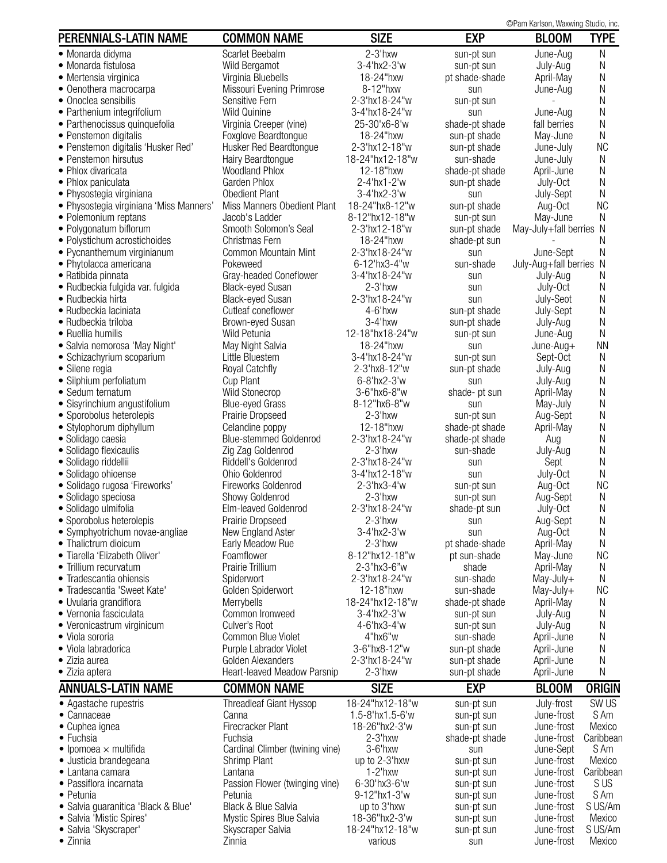©Pam Karlson, Waxwing Studio, inc.

| PERENNIALS-LATIN NAME                                      | <b>COMMON NAME</b>                               | <b>SIZE</b>                    | <b>EXP</b>                   | $\otimes$ i allı Nahəvli, vvaxiying Ətuulu, ilic.<br><b>BLOOM</b> | <b>TYPE</b>     |
|------------------------------------------------------------|--------------------------------------------------|--------------------------------|------------------------------|-------------------------------------------------------------------|-----------------|
|                                                            |                                                  |                                |                              |                                                                   |                 |
| • Monarda didyma<br>• Monarda fistulosa                    | Scarlet Beebalm                                  | $2-3'$ hxw<br>3-4'hx2-3'w      | sun-pt sun                   | June-Aug                                                          | Ν               |
| • Mertensia virginica                                      | Wild Bergamot<br>Virginia Bluebells              | 18-24"hxw                      | sun-pt sun<br>pt shade-shade | July-Aug<br>April-May                                             | Ν<br>Ν          |
| • Oenothera macrocarpa                                     | Missouri Evening Primrose                        | 8-12"hxw                       | sun                          | June-Aug                                                          | N               |
| • Onoclea sensibilis                                       | Sensitive Fern                                   | 2-3'hx18-24"w                  | sun-pt sun                   |                                                                   | Ν               |
| • Parthenium integrifolium                                 | <b>Wild Quinine</b>                              | 3-4'hx18-24"w                  | sun                          | June-Aug                                                          | Ν               |
| • Parthenocissus quinquefolia                              | Virginia Creeper (vine)                          | 25-30'x6-8'w                   | shade-pt shade               | fall berries                                                      | N               |
| • Penstemon digitalis                                      | Foxglove Beardtongue                             | 18-24"hxw                      | sun-pt shade                 | May-June                                                          | N               |
| · Penstemon digitalis 'Husker Red'                         | Husker Red Beardtongue                           | 2-3'hx12-18"w                  | sun-pt shade                 | June-July                                                         | <b>NC</b>       |
| • Penstemon hirsutus                                       | Hairy Beardtongue                                | 18-24"hx12-18"w                | sun-shade                    | June-July                                                         | N               |
| • Phlox divaricata                                         | <b>Woodland Phlox</b>                            | 12-18"hxw                      | shade-pt shade               | April-June                                                        | Ν               |
| • Phlox paniculata                                         | Garden Phlox                                     | 2-4'hx1-2'w                    | sun-pt shade                 | July-Oct                                                          | N               |
| • Physostegia virginiana                                   | Obedient Plant                                   | 3-4'hx2-3'w                    | sun                          | July-Sept                                                         | N               |
| • Physostegia virginiana 'Miss Manners'                    | Miss Manners Obedient Plant                      | 18-24"hx8-12"w                 | sun-pt shade                 | Aug-Oct                                                           | <b>NC</b>       |
| • Polemonium reptans                                       | Jacob's Ladder                                   | 8-12"hx12-18"w                 | sun-pt sun                   | May-June                                                          | Ν               |
| • Polygonatum biflorum                                     | Smooth Solomon's Seal<br>Christmas Fern          | 2-3'hx12-18"w<br>18-24"hxw     | sun-pt shade                 | May-July+fall berries                                             | N               |
| • Polystichum acrostichoides<br>• Pycnanthemum virginianum | Common Mountain Mint                             | 2-3'hx18-24"w                  | shade-pt sun                 | June-Sept                                                         | N<br>N          |
| • Phytolacca americana                                     | Pokeweed                                         | 6-12'hx3-4"w                   | sun<br>sun-shade             | July-Aug+fall berries                                             | N               |
| • Ratibida pinnata                                         | Gray-headed Coneflower                           | 3-4'hx18-24"w                  | sun                          | July-Aug                                                          | Ν               |
| • Rudbeckia fulgida var. fulgida                           | <b>Black-eyed Susan</b>                          | $2-3'$ hxw                     | sun                          | July-Oct                                                          | Ν               |
| • Rudbeckia hirta                                          | <b>Black-eyed Susan</b>                          | 2-3'hx18-24"w                  | sun                          | July-Seot                                                         | N               |
| • Rudbeckia laciniata                                      | Cutleaf coneflower                               | 4-6'hxw                        | sun-pt shade                 | July-Sept                                                         | N               |
| • Rudbeckia triloba                                        | Brown-eyed Susan                                 | $3-4$ 'hxw                     | sun-pt shade                 | July-Aug                                                          | Ν               |
| • Ruellia humilis                                          | Wild Petunia                                     | 12-18"hx18-24"w                | sun-pt sun                   | June-Aug                                                          | N               |
| · Salvia nemorosa 'May Night'                              | May Night Salvia                                 | 18-24"hxw                      | sun                          | June-Aug+                                                         | <b>NN</b>       |
| • Schizachyrium scoparium                                  | Little Bluestem                                  | 3-4'hx18-24"w                  | sun-pt sun                   | Sept-Oct                                                          | N               |
| • Silene regia                                             | Royal Catchfly                                   | 2-3'hx8-12"w                   | sun-pt shade                 | July-Aug                                                          | Ν               |
| • Silphium perfoliatum                                     | Cup Plant                                        | $6 - 8$ 'hx2-3'w               | sun                          | July-Aug                                                          | Ν               |
| • Sedum ternatum                                           | Wild Stonecrop                                   | 3-6"hx6-8"w                    | shade- pt sun                | April-May                                                         | Ν               |
| • Sisyrinchium angustifolium                               | <b>Blue-eyed Grass</b>                           | 8-12"hx6-8"w                   | sun                          | May-July                                                          | Ν               |
| • Sporobolus heterolepis                                   | Prairie Dropseed                                 | $2-3'$ hxw                     | sun-pt sun                   | Aug-Sept                                                          | Ν               |
| • Stylophorum diphyllum                                    | Celandine poppy<br><b>Blue-stemmed Goldenrod</b> | 12-18"hxw<br>2-3'hx18-24"w     | shade-pt shade               | April-May                                                         | Ν<br>Ν          |
| • Solidago caesia<br>• Solidago flexicaulis                | Zig Zag Goldenrod                                | $2-3$ 'hxw                     | shade-pt shade<br>sun-shade  | Aug<br>July-Aug                                                   | N               |
| • Solidago riddellii                                       | Riddell's Goldenrod                              | 2-3'hx18-24"w                  | sun                          | Sept                                                              | N               |
| · Solidago ohioense                                        | Ohio Goldenrod                                   | 3-4'hx12-18"w                  | sun                          | July-Oct                                                          | N               |
| · Solidago rugosa 'Fireworks'                              | Fireworks Goldenrod                              | 2-3'hx3-4'w                    | sun-pt sun                   | Aug-Oct                                                           | <b>NC</b>       |
| · Solidago speciosa                                        | Showy Goldenrod                                  | $2-3'$ hxw                     | sun-pt sun                   | Aug-Sept                                                          | Ν               |
| · Solidago ulmifolia                                       | Elm-leaved Goldenrod                             | 2-3'hx18-24"w                  | shade-pt sun                 | July-Oct                                                          | Ν               |
| • Sporobolus heterolepis                                   | Prairie Dropseed                                 | $2-3'$ hxw                     | sun                          | Aug-Sept                                                          | Ν               |
| • Symphyotrichum novae-angliae                             | New England Aster                                | 3-4'hx2-3'w                    | sun                          | Aug-Oct                                                           | N               |
| • Thalictrum dioicum                                       | Early Meadow Rue                                 | $2-3'$ hxw                     | pt shade-shade               | April-May                                                         | Ν               |
| • Tiarella 'Elizabeth Oliver'                              | Foamflower                                       | 8-12"hx12-18"w                 | pt sun-shade                 | May-June                                                          | <b>NC</b>       |
| • Trillium recurvatum                                      | Prairie Trillium                                 | 2-3"hx3-6"w                    | shade                        | April-May                                                         | Ν               |
| • Tradescantia ohiensis                                    | Spiderwort                                       | 2-3'hx18-24"w                  | sun-shade                    | May-July+                                                         | N               |
| · Tradescantia 'Sweet Kate'                                | Golden Spiderwort                                | 12-18"hxw                      | sun-shade                    | May-July+                                                         | <b>NC</b>       |
| • Uvularia grandiflora                                     | Merrybells<br>Common Ironweed                    | 18-24"hx12-18"w<br>3-4'hx2-3'w | shade-pt shade               | April-May                                                         | Ν               |
| • Vernonia fasciculata<br>• Veronicastrum virginicum       | Culver's Root                                    | 4-6'hx3-4'w                    | sun-pt sun<br>sun-pt sun     | July-Aug<br>July-Aug                                              | N<br>N          |
| • Viola sororia                                            | Common Blue Violet                               | 4"hx6"w                        | sun-shade                    | April-June                                                        | N               |
| • Viola labradorica                                        | Purple Labrador Violet                           | 3-6"hx8-12"w                   | sun-pt shade                 | April-June                                                        | Ν               |
| • Zizia aurea                                              | Golden Alexanders                                | 2-3'hx18-24"w                  | sun-pt shade                 | April-June                                                        | Ν               |
| • Zizia aptera                                             | Heart-leaved Meadow Parsnip                      | 2-3'hxw                        | sun-pt shade                 | April-June                                                        | Ν               |
| <b>ANNUALS-LATIN NAME</b>                                  | <b>COMMON NAME</b>                               | <b>SIZE</b>                    | <b>EXP</b>                   | <b>BLOOM</b>                                                      | <b>ORIGIN</b>   |
| • Agastache rupestris                                      | <b>Threadleaf Giant Hyssop</b>                   | 18-24"hx12-18"w                | sun-pt sun                   | July-frost                                                        | SW US           |
| • Cannaceae                                                | Canna                                            | 1.5-8'hx1.5-6'w                | sun-pt sun                   | June-frost                                                        | S Am            |
| • Cuphea ignea                                             | Firecracker Plant                                | 18-26"hx2-3'w                  | sun-pt sun                   | June-frost                                                        | Mexico          |
| • Fuchsia                                                  | Fuchsia                                          | $2-3'$ hxw                     | shade-pt shade               | June-frost                                                        | Caribbean       |
| $\bullet$ Ipomoea $\times$ multifida                       | Cardinal Climber (twining vine)                  | 3-6'hxw                        | sun                          | June-Sept                                                         | S Am            |
| · Justicia brandegeana                                     | Shrimp Plant                                     | up to 2-3'hxw                  | sun-pt sun                   | June-frost                                                        | Mexico          |
| • Lantana camara                                           | Lantana                                          | $1-2$ 'hxw                     | sun-pt sun                   | June-frost                                                        | Caribbean       |
| • Passiflora incarnata                                     | Passion Flower (twinging vine)                   | 6-30'hx3-6'w                   | sun-pt sun                   | June-frost                                                        | S US            |
| • Petunia<br>• Salvia guaranitica 'Black & Blue'           | Petunia<br>Black & Blue Salvia                   | 9-12"hx1-3'w<br>up to 3'hxw    | sun-pt sun                   | June-frost<br>June-frost                                          | S Am<br>S US/Am |
| • Salvia 'Mistic Spires'                                   | Mystic Spires Blue Salvia                        | 18-36"hx2-3'w                  | sun-pt sun<br>sun-pt sun     | June-frost                                                        | Mexico          |
| · Salvia 'Skyscraper'                                      | Skyscraper Salvia                                | 18-24"hx12-18"w                | sun-pt sun                   | June-frost                                                        | S US/Am         |
| • Zinnia                                                   | Zinnia                                           | various                        | sun                          | June-frost                                                        | Mexico          |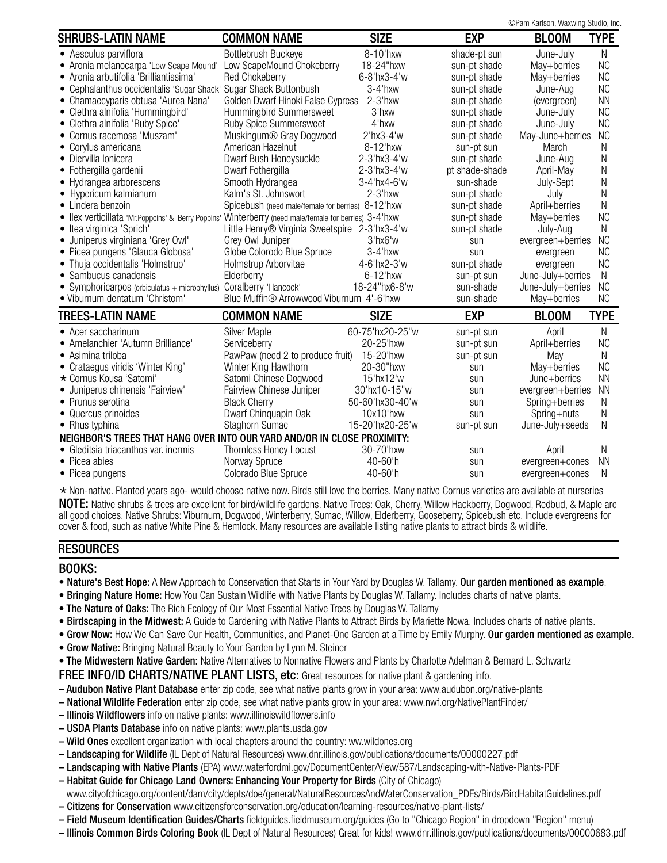©Pam Karlson, Waxwing Studio, inc.

|                                                                                                        |                                                   |                 |                | or ani Kansun, waxwing Juuuu, inu. |             |
|--------------------------------------------------------------------------------------------------------|---------------------------------------------------|-----------------|----------------|------------------------------------|-------------|
| <b>SHRUBS-LATIN NAME</b>                                                                               | <b>COMMON NAME</b>                                | <b>SIZE</b>     | <b>EXP</b>     | <b>BLOOM</b>                       | <b>TYPE</b> |
| • Aesculus parviflora                                                                                  | Bottlebrush Buckeye                               | 8-10'hxw        | shade-pt sun   | June-July                          | N           |
| • Aronia melanocarpa 'Low Scape Mound'                                                                 | Low ScapeMound Chokeberry                         | 18-24"hxw       | sun-pt shade   | May+berries                        | <b>NC</b>   |
| • Aronia arbutifolia 'Brilliantissima'                                                                 | <b>Red Chokeberry</b>                             | 6-8'hx3-4'w     | sun-pt shade   | May+berries                        | <b>NC</b>   |
| • Cephalanthus occidentalis 'Sugar Shack' Sugar Shack Buttonbush                                       |                                                   | $3-4$ 'hxw      | sun-pt shade   | June-Aug                           | <b>NC</b>   |
| • Chamaecyparis obtusa 'Aurea Nana'                                                                    | Golden Dwarf Hinoki False Cypress                 | $2-3$ 'hxw      | sun-pt shade   | (evergreen)                        | <b>NN</b>   |
| • Clethra alnifolia 'Hummingbird'                                                                      | Hummingbird Summersweet                           | 3'hxw           | sun-pt shade   | June-July                          | <b>NC</b>   |
| • Clethra alnifolia 'Ruby Spice'                                                                       | Ruby Spice Summersweet                            | 4'hxw           | sun-pt shade   | June-July                          | <b>NC</b>   |
| • Cornus racemosa 'Muszam'                                                                             | Muskingum® Gray Dogwood                           | $2'$ hx $3-4'w$ | sun-pt shade   | May-June+berries                   | <b>NC</b>   |
| • Corylus americana                                                                                    | American Hazelnut                                 | 8-12'hxw        | sun-pt sun     | March                              | N           |
| • Diervilla lonicera                                                                                   | Dwarf Bush Honeysuckle                            | 2-3'hx3-4'w     | sun-pt shade   | June-Aug                           | N           |
| • Fothergilla gardenii                                                                                 | Dwarf Fothergilla                                 | 2-3'hx3-4'w     | pt shade-shade | April-May                          | N           |
| • Hydrangea arborescens                                                                                | Smooth Hydrangea                                  | 3-4'hx4-6'w     | sun-shade      | July-Sept                          | Ν           |
| • Hypericum kalmianum                                                                                  | Kalm's St. Johnswort                              | $2-3$ 'hxw      | sun-pt shade   | July                               | Ν           |
| • Lindera benzoin                                                                                      | Spicebush (need male/female for berries) 8-12'hxw |                 | sun-pt shade   | April+berries                      | N           |
| • Ilex verticillata 'Mr.Poppoins' & 'Berry Poppins' Winterberry (need male/female for berries) 3-4 hxw |                                                   |                 | sun-pt shade   | May+berries                        | <b>NC</b>   |
| • Itea virginica 'Sprich'                                                                              | Little Henry® Virginia Sweetspire 2-3'hx3-4'w     |                 | sun-pt shade   | July-Aug                           | N           |
| · Juniperus virginiana 'Grey Owl'                                                                      | Grey Owl Juniper                                  | 3'hx6'w         | sun            | evergreen+berries                  | <b>NC</b>   |
| · Picea pungens 'Glauca Globosa'                                                                       | Globe Colorodo Blue Spruce                        | $3-4$ 'hxw      | sun            | evergreen                          | <b>NC</b>   |
| • Thuja occidentalis 'Holmstrup'                                                                       | Holmstrup Arborvitae                              | 4-6'hx2-3'w     | sun-pt shade   | evergreen                          | <b>NC</b>   |
| • Sambucus canadensis                                                                                  | Elderberry                                        | $6-12$ 'hxw     | sun-pt sun     | June-July+berries                  | N           |
| • Symphoricarpos (orbiculatus + microphyllus)                                                          | Coralberry 'Hancock'                              | 18-24"hx6-8'w   | sun-shade      | June-July+berries                  | <b>NC</b>   |
| • Viburnum dentatum 'Christom'                                                                         | Blue Muffin® Arrowwood Viburnum 4'-6'hxw          |                 | sun-shade      | May+berries                        | <b>NC</b>   |
| <b>TREES-LATIN NAME</b>                                                                                | <b>COMMON NAME</b>                                | <b>SIZE</b>     | <b>EXP</b>     | <b>BLOOM</b>                       | <b>TYPE</b> |
| • Acer saccharinum                                                                                     | <b>Silver Maple</b>                               | 60-75'hx20-25"w | sun-pt sun     | April                              | N           |
| • Amelanchier 'Autumn Brilliance'                                                                      | Serviceberry                                      | 20-25'hxw       | sun-pt sun     | April+berries                      | <b>NC</b>   |
| • Asimina triloba                                                                                      | PawPaw (need 2 to produce fruit)                  | 15-20'hxw       | sun-pt sun     | May                                | N           |
| • Crataegus viridis 'Winter King'                                                                      | Winter King Hawthorn                              | 20-30"hxw       | sun            | May+berries                        | <b>NC</b>   |
| * Cornus Kousa 'Satomi'                                                                                | Satomi Chinese Dogwood                            | 15'hx12'w       | sun            | June+berries                       | <b>NN</b>   |
| · Juniperus chinensis 'Fairview'                                                                       | Fairview Chinese Juniper                          | 30'hx10-15"w    | sun            | evergreen+berries                  | <b>NN</b>   |
| • Prunus serotina                                                                                      | <b>Black Cherry</b>                               | 50-60'hx30-40'w | sun            | Spring+berries                     | N           |
| • Quercus prinoides                                                                                    | Dwarf Chinquapin Oak                              | 10x10'hxw       | sun            | Spring+nuts                        | N           |
| • Rhus typhina                                                                                         | Staghorn Sumac                                    | 15-20'hx20-25'w | sun-pt sun     | June-July+seeds                    | N           |
| NEIGHBOR'S TREES THAT HANG OVER INTO OUR YARD AND/OR IN CLOSE PROXIMITY:                               |                                                   |                 |                |                                    |             |
| • Gleditsia triacanthos var. inermis                                                                   | Thornless Honey Locust                            | 30-70'hxw       | sun            | April                              | N           |
| • Picea abies                                                                                          | Norway Spruce                                     | 40-60'h         | sun            | evergreen+cones                    | <b>NN</b>   |
| • Picea pungens                                                                                        | Colorado Blue Spruce                              | 40-60'h         | sun            | evergreen+cones                    | N           |
|                                                                                                        |                                                   |                 |                |                                    |             |

\* Non-native. Planted years ago- would choose native now. Birds still love the berries. Many native Cornus varieties are available at nurseries NOTE: Native shrubs & trees are excellent for bird/wildlife gardens. Native Trees: Oak, Cherry, Willow Hackberry, Dogwood, Redbud, & Maple are all good choices. Native Shrubs: Viburnum, Dogwood, Winterberry, Sumac, Willow, Elderberry, Gooseberry, Spicebush etc. Include evergreens for cover & food, such as native White Pine & Hemlock. Many resources are available listing native plants to attract birds & wildlife.

### **RESOURCES**

### BOOKS:

- Nature's Best Hope: A New Approach to Conservation that Starts in Your Yard by Douglas W. Tallamy. Our garden mentioned as example.
- Bringing Nature Home: How You Can Sustain Wildlife with Native Plants by Douglas W. Tallamy. Includes charts of native plants.
- The Nature of Oaks: The Rich Ecology of Our Most Essential Native Trees by Douglas W. Tallamy
- Birdscaping in the Midwest: A Guide to Gardening with Native Plants to Attract Birds by Mariette Nowa. Includes charts of native plants.
- Grow Now: How We Can Save Our Health, Communities, and Planet-One Garden at a Time by Emily Murphy. Our garden mentioned as example.
- Grow Native: Bringing Natural Beauty to Your Garden by Lynn M. Steiner
- The Midwestern Native Garden: Native Alternatives to Nonnative Flowers and Plants by Charlotte Adelman & Bernard L. Schwartz

FREE INFO/ID CHARTS/NATIVE PLANT LISTS, etc: Great resources for native plant & gardening info.

- Audubon Native Plant Database enter zip code, see what native plants grow in your area: www.audubon.org/native-plants
- National Wildlife Federation enter zip code, see what native plants grow in your area: www.nwf.org/NativePlantFinder/
- Illinois Wildflowers info on native plants: www.illinoiswildflowers.info
- USDA Plants Database info on native plants: www.plants.usda.gov
- Wild Ones excellent organization with local chapters around the country: ww.wildones.org
- Landscaping for Wildlife (IL Dept of Natural Resources) www.dnr.illinois.gov/publications/documents/00000227.pdf
- Landscaping with Native Plants (EPA) www.waterfordmi.gov/DocumentCenter/View/587/Landscaping-with-Native-Plants-PDF
- Habitat Guide for Chicago Land Owners: Enhancing Your Property for Birds (City of Chicago)
- www.cityofchicago.org/content/dam/city/depts/doe/general/NaturalResourcesAndWaterConservation\_PDFs/Birds/BirdHabitatGuidelines.pdf – Citizens for Conservation www.citizensforconservation.org/education/learning-resources/native-plant-lists/
- Field Museum Identification Guides/Charts fieldguides.fieldmuseum.org/guides (Go to "Chicago Region" in dropdown "Region" menu)
- Illinois Common Birds Coloring Book (IL Dept of Natural Resources) Great for kids! www.dnr.illinois.gov/publications/documents/00000683.pdf